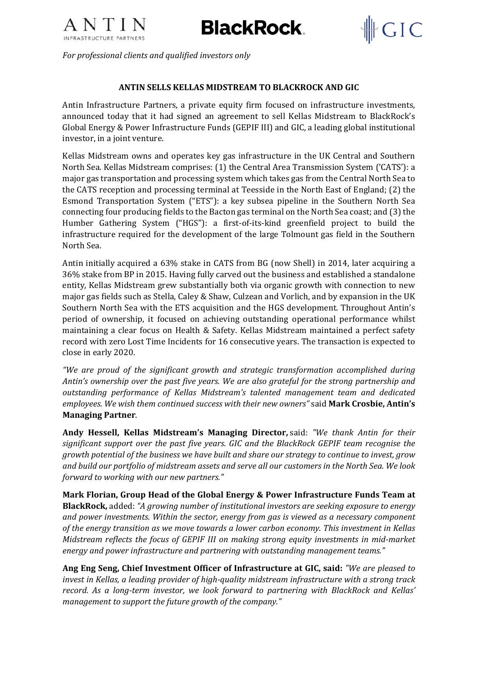

**BlackRock** 



*For professional clients and qualified investors only*

### **ANTIN SELLS KELLAS MIDSTREAM TO BLACKROCK AND GIC**

Antin Infrastructure Partners, a private equity firm focused on infrastructure investments, announced today that it had signed an agreement to sell Kellas Midstream to BlackRock's Global Energy & Power Infrastructure Funds (GEPIF III) and GIC, a leading global institutional investor, in a joint venture.

Kellas Midstream owns and operates key gas infrastructure in the UK Central and Southern North Sea. Kellas Midstream comprises: (1) the Central Area Transmission System ('CATS'): a major gas transportation and processing system which takes gas from the Central North Sea to the CATS reception and processing terminal at Teesside in the North East of England; (2) the Esmond Transportation System ("ETS"): a key subsea pipeline in the Southern North Sea connecting four producing fields to the Bacton gas terminal on the North Sea coast; and (3) the Humber Gathering System ("HGS"): a first-of-its-kind greenfield project to build the infrastructure required for the development of the large Tolmount gas field in the Southern North Sea.

Antin initially acquired a 63% stake in CATS from BG (now Shell) in 2014, later acquiring a 36% stake from BP in 2015. Having fully carved out the business and established a standalone entity, Kellas Midstream grew substantially both via organic growth with connection to new major gas fields such as Stella, Caley & Shaw, Culzean and Vorlich, and by expansion in the UK Southern North Sea with the ETS acquisition and the HGS development. Throughout Antin's period of ownership, it focused on achieving outstanding operational performance whilst maintaining a clear focus on Health & Safety. Kellas Midstream maintained a perfect safety record with zero Lost Time Incidents for 16 consecutive years. The transaction is expected to close in early 2020.

*"We are proud of the significant growth and strategic transformation accomplished during Antin's ownership over the past five years. We are also grateful for the strong partnership and outstanding performance of Kellas Midstream's talented management team and dedicated employees. We wish them continued success with their new owners"* said **Mark Crosbie, Antin's Managing Partner**.

**Andy Hessell, Kellas Midstream's Managing Director,** said: *"We thank Antin for their significant support over the past five years. GIC and the BlackRock GEPIF team recognise the growth potential of the business we have built and share our strategy to continue to invest, grow and build our portfolio of midstream assets and serve all our customers in the North Sea. We look forward to working with our new partners."*

**Mark Florian, Group Head of the Global Energy & Power Infrastructure Funds Team at BlackRock,** added: *"A growing number of institutional investors are seeking exposure to energy and power investments. Within the sector, energy from gas is viewed as a necessary component of the energy transition as we move towards a lower carbon economy. This investment in Kellas Midstream reflects the focus of GEPIF III on making strong equity investments in mid-market energy and power infrastructure and partnering with outstanding management teams."*

**Ang Eng Seng, Chief Investment Officer of Infrastructure at GIC, said:** *"We are pleased to invest in Kellas, a leading provider of high-quality midstream infrastructure with a strong track record. As a long-term investor, we look forward to partnering with BlackRock and Kellas' management to support the future growth of the company."*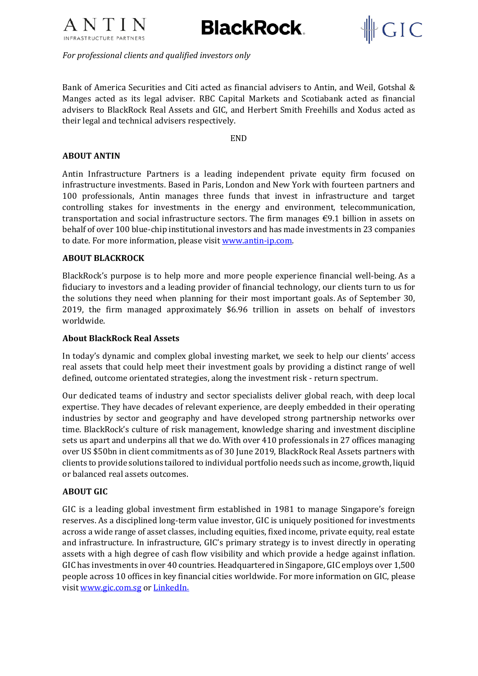

**BlackRock** 



*For professional clients and qualified investors only*

Bank of America Securities and Citi acted as financial advisers to Antin, and Weil, Gotshal & Manges acted as its legal adviser. RBC Capital Markets and Scotiabank acted as financial advisers to BlackRock Real Assets and GIC, and Herbert Smith Freehills and Xodus acted as their legal and technical advisers respectively.

END

# **ABOUT ANTIN**

Antin Infrastructure Partners is a leading independent private equity firm focused on infrastructure investments. Based in Paris, London and New York with fourteen partners and 100 professionals, Antin manages three funds that invest in infrastructure and target controlling stakes for investments in the energy and environment, telecommunication, transportation and social infrastructure sectors. The firm manages  $\epsilon$ 9.1 billion in assets on behalf of over 100 blue-chip institutional investors and has made investments in 23 companies to date. For more information, please visit [www.antin-ip.com.](http://www.antin-ip.com/)

### **ABOUT BLACKROCK**

BlackRock's purpose is to help more and more people experience financial well-being. As a fiduciary to investors and a leading provider of financial technology, our clients turn to us for the solutions they need when planning for their most important goals. As of September 30, 2019, the firm managed approximately \$6.96 trillion in assets on behalf of investors worldwide.

#### **About BlackRock Real Assets**

In today's dynamic and complex global investing market, we seek to help our clients' access real assets that could help meet their investment goals by providing a distinct range of well defined, outcome orientated strategies, along the investment risk - return spectrum.

Our dedicated teams of industry and sector specialists deliver global reach, with deep local expertise. They have decades of relevant experience, are deeply embedded in their operating industries by sector and geography and have developed strong partnership networks over time. BlackRock's culture of risk management, knowledge sharing and investment discipline sets us apart and underpins all that we do. With over 410 professionals in 27 offices managing over US \$50bn in client commitments as of 30 June 2019, BlackRock Real Assets partners with clients to provide solutions tailored to individual portfolio needs such as income, growth, liquid or balanced real assets outcomes.

# **ABOUT GIC**

GIC is a leading global investment firm established in 1981 to manage Singapore's foreign reserves. As a disciplined long-term value investor, GIC is uniquely positioned for investments across a wide range of asset classes, including equities, fixed income, private equity, real estate and infrastructure. In infrastructure, GIC's primary strategy is to invest directly in operating assets with a high degree of cash flow visibility and which provide a hedge against inflation. GIC has investments in over 40 countries. Headquartered in Singapore, GIC employs over 1,500 people across 10 offices in key financial cities worldwide. For more information on GIC, please visi[t www.gic.com.sg](http://www.gic.com.sg/) or [LinkedIn.](https://www.linkedin.com/company/gic/?originalSubdomain=sg)